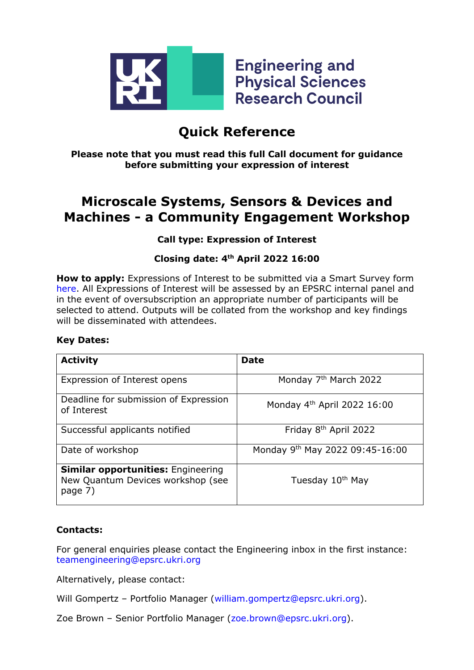

# **Quick Reference**

**Please note that you must read this full Call document for guidance before submitting your expression of interest**

# **Microscale Systems, Sensors & Devices and Machines - a Community Engagement Workshop**

### **Call type: Expression of Interest**

### **Closing date: 4th April 2022 16:00**

**How to apply:** Expressions of Interest to be submitted via a Smart Survey form [here.](https://www.smartsurvey.co.uk/s/Microsystems/) All Expressions of Interest will be assessed by an EPSRC internal panel and in the event of oversubscription an appropriate number of participants will be selected to attend. Outputs will be collated from the workshop and key findings will be disseminated with attendees.

#### **Key Dates:**

| <b>Activity</b>                                                                           | <b>Date</b>                       |
|-------------------------------------------------------------------------------------------|-----------------------------------|
| Expression of Interest opens                                                              | Monday 7 <sup>th</sup> March 2022 |
| Deadline for submission of Expression<br>of Interest                                      | Monday $4th$ April 2022 16:00     |
| Successful applicants notified                                                            | Friday 8 <sup>th</sup> April 2022 |
| Date of workshop                                                                          | Monday 9th May 2022 09:45-16:00   |
| <b>Similar opportunities: Engineering</b><br>New Quantum Devices workshop (see<br>page 7) | Tuesday 10 <sup>th</sup> May      |

#### **Contacts:**

For general enquiries please contact the Engineering inbox in the first instance: [teamengineering@epsrc.ukri.org](mailto:teamengineering@epsrc.ukri.org)

Alternatively, please contact:

Will Gompertz - Portfolio Manager [\(william.gompertz@epsrc.ukri.org\)](mailto:william.gompertz@epsrc.ukri.org).

Zoe Brown – Senior Portfolio Manager [\(zoe.brown@epsrc.ukri.org\)](mailto:zoe.brown@epsrc.ukri.org).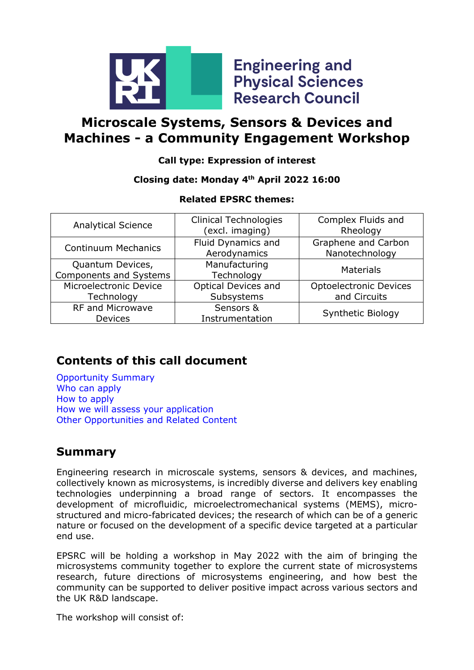

**Engineering and Physical Sciences Research Council** 

# **Microscale Systems, Sensors & Devices and Machines - a Community Engagement Workshop**

### **Call type: Expression of interest**

### **Closing date: Monday 4th April 2022 16:00**

### **Related EPSRC themes:**

| <b>Analytical Science</b>                         | <b>Clinical Technologies</b><br>(excl. imaging) | Complex Fluids and<br>Rheology                |
|---------------------------------------------------|-------------------------------------------------|-----------------------------------------------|
| <b>Continuum Mechanics</b>                        | Fluid Dynamics and<br>Aerodynamics              | Graphene and Carbon<br>Nanotechnology         |
| Quantum Devices,<br><b>Components and Systems</b> | Manufacturing<br>Technology                     | <b>Materials</b>                              |
| Microelectronic Device<br>Technology              | <b>Optical Devices and</b><br>Subsystems        | <b>Optoelectronic Devices</b><br>and Circuits |
| <b>RF and Microwave</b><br><b>Devices</b>         | Sensors &<br>Instrumentation                    | Synthetic Biology                             |

# **Contents of this call document**

[Opportunity Summary](#page-1-0) [Who can apply](#page-3-0) [How to apply](#page-3-1) [How we will assess your application](#page-3-1) [Other Opportunities and Related Content](#page-6-0)

## <span id="page-1-0"></span>**Summary**

Engineering research in microscale systems, sensors & devices, and machines, collectively known as microsystems, is incredibly diverse and delivers key enabling technologies underpinning a broad range of sectors. It encompasses the development of microfluidic, microelectromechanical systems (MEMS), microstructured and micro-fabricated devices; the research of which can be of a generic nature or focused on the development of a specific device targeted at a particular end use.

EPSRC will be holding a workshop in May 2022 with the aim of bringing the microsystems community together to explore the current state of microsystems research, future directions of microsystems engineering, and how best the community can be supported to deliver positive impact across various sectors and the UK R&D landscape.

The workshop will consist of: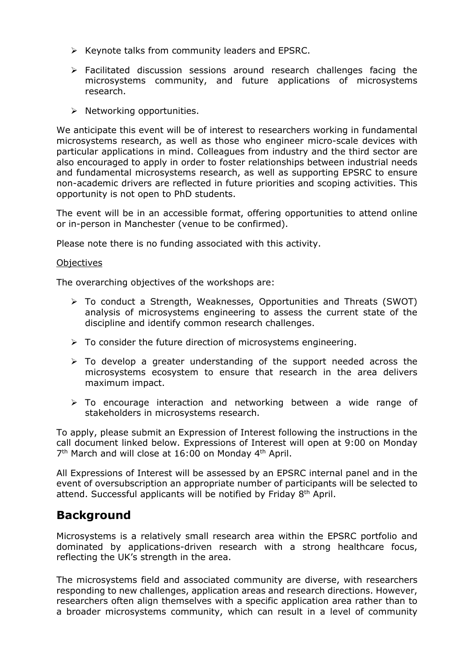- $\triangleright$  Keynote talks from community leaders and EPSRC.
- $\triangleright$  Facilitated discussion sessions around research challenges facing the microsystems community, and future applications of microsystems research.
- $\triangleright$  Networking opportunities.

We anticipate this event will be of interest to researchers working in fundamental microsystems research, as well as those who engineer micro-scale devices with particular applications in mind. Colleagues from industry and the third sector are also encouraged to apply in order to foster relationships between industrial needs and fundamental microsystems research, as well as supporting EPSRC to ensure non-academic drivers are reflected in future priorities and scoping activities. This opportunity is not open to PhD students.

The event will be in an accessible format, offering opportunities to attend online or in-person in Manchester (venue to be confirmed).

Please note there is no funding associated with this activity.

#### **Objectives**

The overarching objectives of the workshops are:

- $\triangleright$  To conduct a Strength, Weaknesses, Opportunities and Threats (SWOT) analysis of microsystems engineering to assess the current state of the discipline and identify common research challenges.
- $\triangleright$  To consider the future direction of microsystems engineering.
- $\triangleright$  To develop a greater understanding of the support needed across the microsystems ecosystem to ensure that research in the area delivers maximum impact.
- $\triangleright$  To encourage interaction and networking between a wide range of stakeholders in microsystems research.

To apply, please submit an Expression of Interest following the instructions in the call document linked below. Expressions of Interest will open at 9:00 on Monday 7<sup>th</sup> March and will close at 16:00 on Monday 4<sup>th</sup> April.

All Expressions of Interest will be assessed by an EPSRC internal panel and in the event of oversubscription an appropriate number of participants will be selected to attend. Successful applicants will be notified by Friday 8<sup>th</sup> April.

## **Background**

Microsystems is a relatively small research area within the EPSRC portfolio and dominated by applications-driven research with a strong healthcare focus, reflecting the UK's strength in the area.

The microsystems field and associated community are diverse, with researchers responding to new challenges, application areas and research directions. However, researchers often align themselves with a specific application area rather than to a broader microsystems community, which can result in a level of community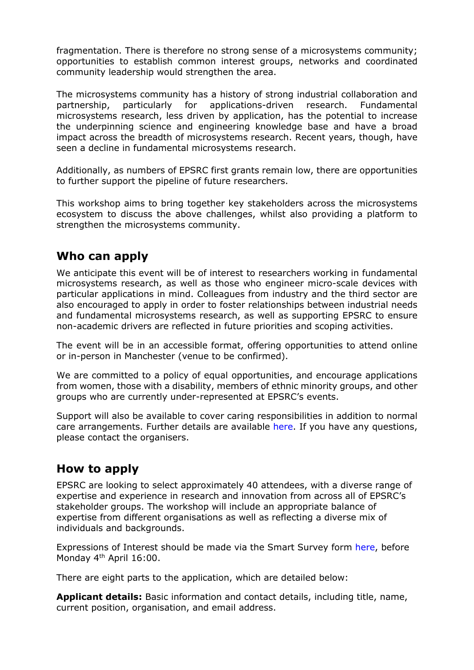fragmentation. There is therefore no strong sense of a microsystems community; opportunities to establish common interest groups, networks and coordinated community leadership would strengthen the area.

The microsystems community has a history of strong industrial collaboration and partnership, particularly for applications-driven research. Fundamental microsystems research, less driven by application, has the potential to increase the underpinning science and engineering knowledge base and have a broad impact across the breadth of microsystems research. Recent years, though, have seen a decline in fundamental microsystems research.

Additionally, as numbers of EPSRC first grants remain low, there are opportunities to further support the pipeline of future researchers.

This workshop aims to bring together key stakeholders across the microsystems ecosystem to discuss the above challenges, whilst also providing a platform to strengthen the microsystems community.

## <span id="page-3-0"></span>**Who can apply**

We anticipate this event will be of interest to researchers working in fundamental microsystems research, as well as those who engineer micro-scale devices with particular applications in mind. Colleagues from industry and the third sector are also encouraged to apply in order to foster relationships between industrial needs and fundamental microsystems research, as well as supporting EPSRC to ensure non-academic drivers are reflected in future priorities and scoping activities.

The event will be in an accessible format, offering opportunities to attend online or in-person in Manchester (venue to be confirmed).

We are committed to a policy of equal opportunities, and encourage applications from women, those with a disability, members of ethnic minority groups, and other groups who are currently under-represented at EPSRC's events.

Support will also be available to cover caring responsibilities in addition to normal care arrangements. Further details are available [here.](https://epsrc.ukri.org/funding/applicationprocess/basics/caringresponsibilities/) If you have any questions, please contact the organisers.

## <span id="page-3-1"></span>**How to apply**

EPSRC are looking to select approximately 40 attendees, with a diverse range of expertise and experience in research and innovation from across all of EPSRC's stakeholder groups. The workshop will include an appropriate balance of expertise from different organisations as well as reflecting a diverse mix of individuals and backgrounds.

Expressions of Interest should be made via the Smart Survey form [here,](https://www.smartsurvey.co.uk/s/Microsystems/) before Monday 4<sup>th</sup> April 16:00.

There are eight parts to the application, which are detailed below:

**Applicant details:** Basic information and contact details, including title, name, current position, organisation, and email address.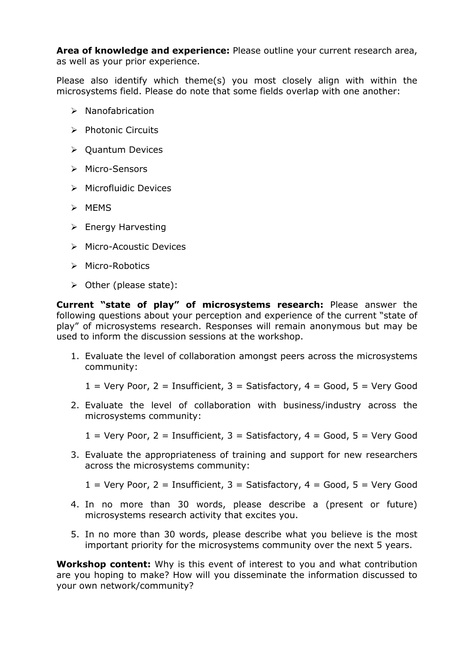**Area of knowledge and experience:** Please outline your current research area, as well as your prior experience.

Please also identify which theme(s) you most closely align with within the microsystems field. Please do note that some fields overlap with one another:

- $\triangleright$  Nanofabrication
- $\triangleright$  Photonic Circuits
- $\triangleright$  Quantum Devices
- > Micro-Sensors
- $\triangleright$  Microfluidic Devices
- $>$  MEMS
- $\triangleright$  Energy Harvesting
- **▶ Micro-Acoustic Devices**
- $\triangleright$  Micro-Robotics
- $\triangleright$  Other (please state):

**Current "state of play" of microsystems research:** Please answer the following questions about your perception and experience of the current "state of play" of microsystems research. Responses will remain anonymous but may be used to inform the discussion sessions at the workshop.

- 1. Evaluate the level of collaboration amongst peers across the microsystems community:
	- $1 =$  Very Poor,  $2 =$  Insufficient,  $3 =$  Satisfactory,  $4 =$  Good,  $5 =$  Very Good
- 2. Evaluate the level of collaboration with business/industry across the microsystems community:
	- $1 =$  Very Poor,  $2 =$  Insufficient,  $3 =$  Satisfactory,  $4 =$  Good,  $5 =$  Very Good
- 3. Evaluate the appropriateness of training and support for new researchers across the microsystems community:
	- $1 =$  Very Poor,  $2 =$  Insufficient,  $3 =$  Satisfactory,  $4 =$  Good,  $5 =$  Very Good
- 4. In no more than 30 words, please describe a (present or future) microsystems research activity that excites you.
- 5. In no more than 30 words, please describe what you believe is the most important priority for the microsystems community over the next 5 years.

**Workshop content:** Why is this event of interest to you and what contribution are you hoping to make? How will you disseminate the information discussed to your own network/community?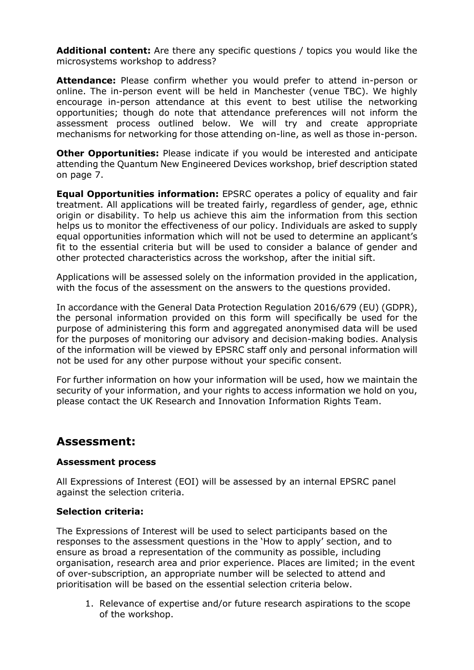**Additional content:** Are there any specific questions / topics you would like the microsystems workshop to address?

**Attendance:** Please confirm whether you would prefer to attend in-person or online. The in-person event will be held in Manchester (venue TBC). We highly encourage in-person attendance at this event to best utilise the networking opportunities; though do note that attendance preferences will not inform the assessment process outlined below. We will try and create appropriate mechanisms for networking for those attending on-line, as well as those in-person.

**Other Opportunities:** Please indicate if you would be interested and anticipate attending the Quantum New Engineered Devices workshop, brief description stated on page 7.

**Equal Opportunities information:** EPSRC operates a policy of equality and fair treatment. All applications will be treated fairly, regardless of gender, age, ethnic origin or disability. To help us achieve this aim the information from this section helps us to monitor the effectiveness of our policy. Individuals are asked to supply equal opportunities information which will not be used to determine an applicant's fit to the essential criteria but will be used to consider a balance of gender and other protected characteristics across the workshop, after the initial sift.

Applications will be assessed solely on the information provided in the application, with the focus of the assessment on the answers to the questions provided.

In accordance with the General Data Protection Regulation 2016/679 (EU) (GDPR), the personal information provided on this form will specifically be used for the purpose of administering this form and aggregated anonymised data will be used for the purposes of monitoring our advisory and decision-making bodies. Analysis of the information will be viewed by EPSRC staff only and personal information will not be used for any other purpose without your specific consent.

For further information on how your information will be used, how we maintain the security of your information, and your rights to access information we hold on you, please contact the UK Research and Innovation Information Rights Team.

### **Assessment:**

#### **Assessment process**

All Expressions of Interest (EOI) will be assessed by an internal EPSRC panel against the selection criteria.

#### **Selection criteria:**

The Expressions of Interest will be used to select participants based on the responses to the assessment questions in the 'How to apply' section, and to ensure as broad a representation of the community as possible, including organisation, research area and prior experience. Places are limited; in the event of over-subscription, an appropriate number will be selected to attend and prioritisation will be based on the essential selection criteria below.

1. Relevance of expertise and/or future research aspirations to the scope of the workshop.